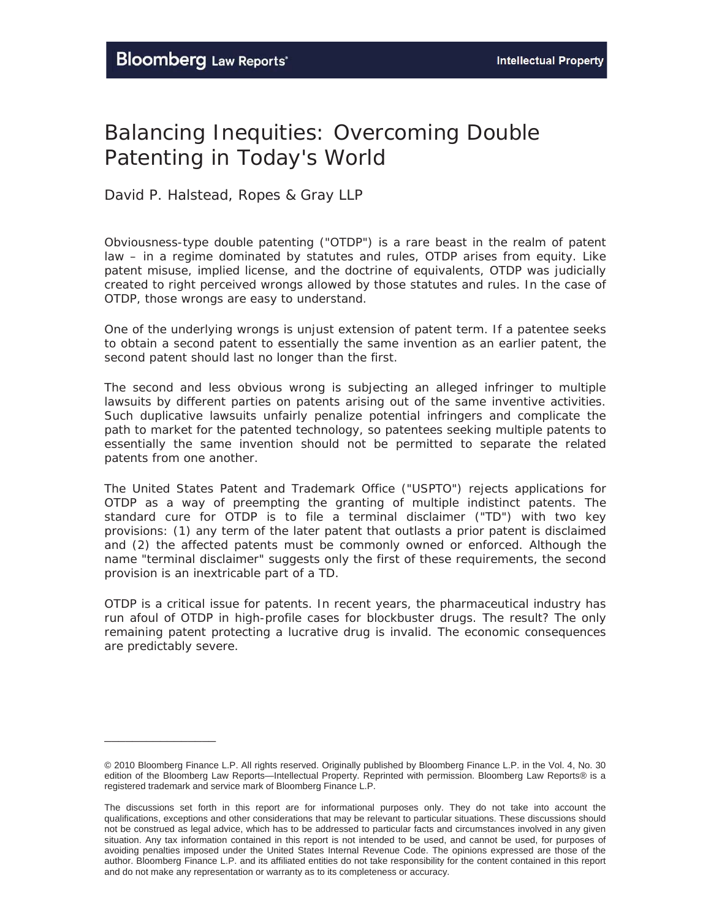\_\_\_\_\_\_\_\_\_\_\_\_\_\_\_\_

## Balancing Inequities: Overcoming Double Patenting in Today's World

*David P. Halstead, Ropes & Gray LLP* 

Obviousness-type double patenting ("OTDP") is a rare beast in the realm of patent law – in a regime dominated by statutes and rules, OTDP arises from equity. Like patent misuse, implied license, and the doctrine of equivalents, OTDP was judicially created to right perceived wrongs allowed by those statutes and rules. In the case of OTDP, those wrongs are easy to understand.

One of the underlying wrongs is unjust extension of patent term. If a patentee seeks to obtain a second patent to essentially the same invention as an earlier patent, the second patent should last no longer than the first.

The second and less obvious wrong is subjecting an alleged infringer to multiple lawsuits by different parties on patents arising out of the same inventive activities. Such duplicative lawsuits unfairly penalize potential infringers and complicate the path to market for the patented technology, so patentees seeking multiple patents to essentially the same invention should not be permitted to separate the related patents from one another.

The United States Patent and Trademark Office ("USPTO") rejects applications for OTDP as a way of preempting the granting of multiple indistinct patents. The standard cure for OTDP is to file a terminal disclaimer ("TD") with two key provisions: (1) any term of the later patent that outlasts a prior patent is disclaimed and (2) the affected patents must be commonly owned or enforced. Although the name "terminal disclaimer" suggests only the first of these requirements, the second provision is an inextricable part of a TD.

OTDP is a critical issue for patents. In recent years, the pharmaceutical industry has run afoul of OTDP in high-profile cases for blockbuster drugs. The result? The only remaining patent protecting a lucrative drug is invalid. The economic consequences are predictably severe.

<sup>© 2010</sup> Bloomberg Finance L.P. All rights reserved. Originally published by Bloomberg Finance L.P. in the Vol. 4, No. 30 edition of the Bloomberg Law Reports—Intellectual Property. Reprinted with permission. Bloomberg Law Reports® is a registered trademark and service mark of Bloomberg Finance L.P.

The discussions set forth in this report are for informational purposes only. They do not take into account the qualifications, exceptions and other considerations that may be relevant to particular situations. These discussions should not be construed as legal advice, which has to be addressed to particular facts and circumstances involved in any given situation. Any tax information contained in this report is not intended to be used, and cannot be used, for purposes of avoiding penalties imposed under the United States Internal Revenue Code. The opinions expressed are those of the author. Bloomberg Finance L.P. and its affiliated entities do not take responsibility for the content contained in this report and do not make any representation or warranty as to its completeness or accuracy.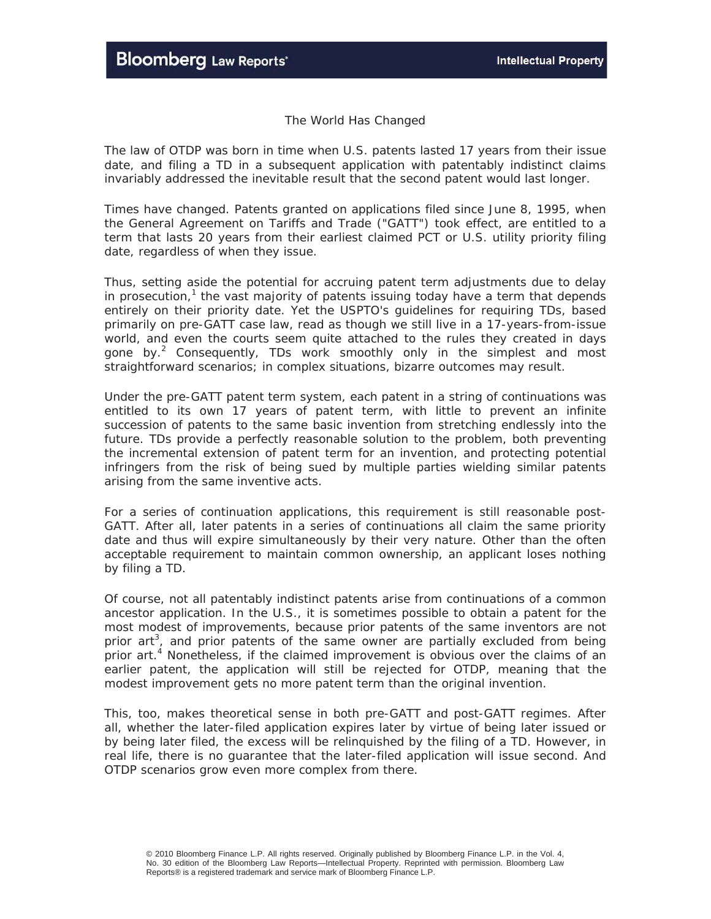## *The World Has Changed*

The law of OTDP was born in time when U.S. patents lasted 17 years from their issue date, and filing a TD in a subsequent application with patentably indistinct claims invariably addressed the inevitable result that the second patent would last longer.

Times have changed. Patents granted on applications filed since June 8, 1995, when the General Agreement on Tariffs and Trade ("GATT") took effect, are entitled to a term that lasts 20 years from their earliest claimed PCT or U.S. utility priority filing date, regardless of when they issue.

Thus, setting aside the potential for accruing patent term adjustments due to delay in prosecution,<sup>1</sup> the vast majority of patents issuing today have a term that depends entirely on their priority date. Yet the USPTO's guidelines for requiring TDs, based primarily on pre-GATT case law, read as though we still live in a 17-years-from-issue world, and even the courts seem quite attached to the rules they created in days gone by.<sup>2</sup> Consequently, TDs work smoothly only in the simplest and most straightforward scenarios; in complex situations, bizarre outcomes may result.

Under the pre-GATT patent term system, each patent in a string of continuations was entitled to its own 17 years of patent term, with little to prevent an infinite succession of patents to the same basic invention from stretching endlessly into the future. TDs provide a perfectly reasonable solution to the problem, both preventing the incremental extension of patent term for an invention, and protecting potential infringers from the risk of being sued by multiple parties wielding similar patents arising from the same inventive acts.

For a series of continuation applications, this requirement is still reasonable post-GATT. After all, later patents in a series of continuations all claim the same priority date and thus will expire simultaneously by their very nature. Other than the often acceptable requirement to maintain common ownership, an applicant loses nothing by filing a TD.

Of course, not all patentably indistinct patents arise from continuations of a common ancestor application. In the U.S., it is sometimes possible to obtain a patent for the most modest of improvements, because prior patents of the same inventors are not prior art<sup>3</sup>, and prior patents of the same owner are partially excluded from being prior art.<sup>4</sup> Nonetheless, if the claimed improvement is obvious over the claims of an earlier patent, the application will still be rejected for OTDP, meaning that the modest improvement gets no more patent term than the original invention.

This, too, makes theoretical sense in both pre-GATT and post-GATT regimes. After all, whether the later-filed application expires later by virtue of being later issued or by being later filed, the excess will be relinquished by the filing of a TD. However, in real life, there is no guarantee that the later-filed application will issue second. And OTDP scenarios grow even more complex from there.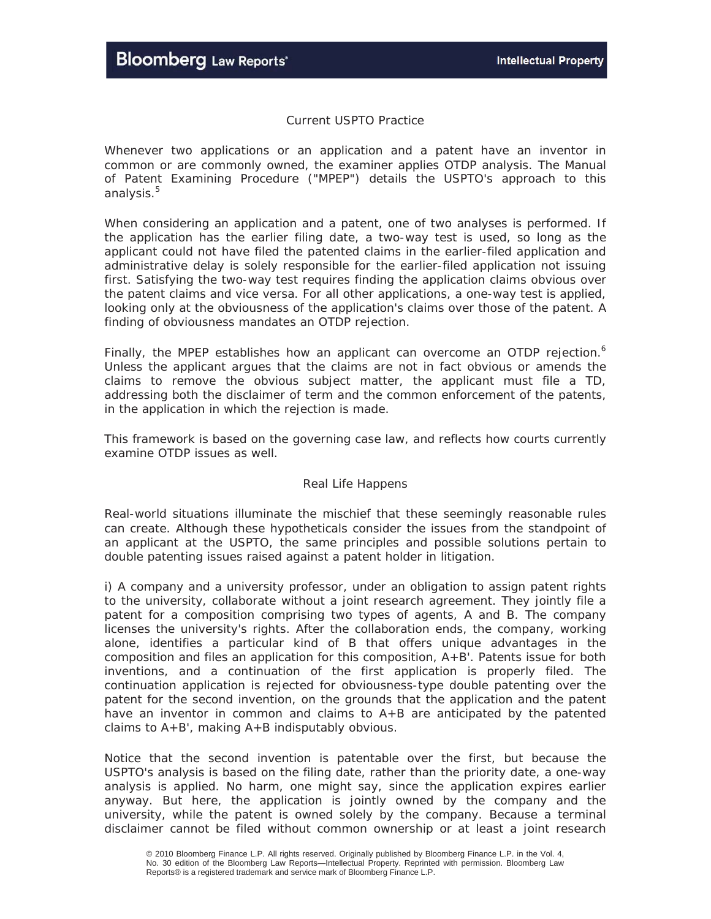## *Current USPTO Practice*

Whenever two applications or an application and a patent have an inventor in common or are commonly owned, the examiner applies OTDP analysis. The Manual of Patent Examining Procedure ("MPEP") details the USPTO's approach to this analysis.<sup>5</sup>

When considering an application and a patent, one of two analyses is performed. If the application has the earlier filing date, a two-way test is used, so long as the applicant could not have filed the patented claims in the earlier-filed application and administrative delay is solely responsible for the earlier-filed application not issuing first. Satisfying the two-way test requires finding the application claims obvious over the patent claims *and vice versa*. For all other applications, a one-way test is applied, looking only at the obviousness of the application's claims over those of the patent. A finding of obviousness mandates an OTDP rejection.

Finally, the MPEP establishes how an applicant can overcome an OTDP rejection.<sup>6</sup> Unless the applicant argues that the claims are not in fact obvious or amends the claims to remove the obvious subject matter, the applicant *must* file a TD, addressing both the disclaimer of term and the common enforcement of the patents, in the application in which the rejection is made.

This framework is based on the governing case law, and reflects how courts currently examine OTDP issues as well.

## *Real Life Happens*

Real-world situations illuminate the mischief that these seemingly reasonable rules can create. Although these hypotheticals consider the issues from the standpoint of an applicant at the USPTO, the same principles and possible solutions pertain to double patenting issues raised against a patent holder in litigation.

i) A company and a university professor, under an obligation to assign patent rights to the university, collaborate without a joint research agreement. They jointly file a patent for a composition comprising two types of agents, A and B. The company licenses the university's rights. After the collaboration ends, the company, working alone, identifies a particular kind of B that offers unique advantages in the composition and files an application for this composition, A+B'. Patents issue for both inventions, and a continuation of the first application is properly filed. The continuation application is rejected for obviousness-type double patenting over the patent for the second invention, on the grounds that the application and the patent have an inventor in common and claims to A+B are anticipated by the patented claims to  $A+B'$ , making  $A+B$  indisputably obvious.

Notice that the second invention is patentable over the first, but because the USPTO's analysis is based on the *filing* date, rather than the *priority* date, a one-way analysis is applied. No harm, one might say, since the application expires earlier anyway. But here, the application is jointly owned by the company and the university, while the patent is owned solely by the company. Because a terminal disclaimer cannot be filed without common ownership or at least a joint research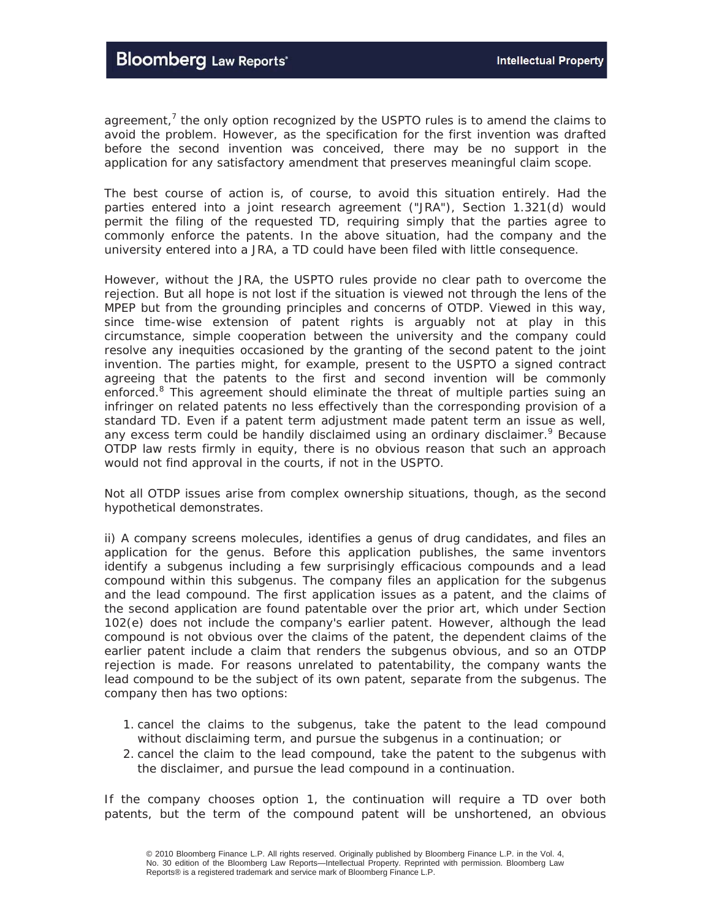agreement,<sup>7</sup> the only option recognized by the USPTO rules is to amend the claims to avoid the problem. However, as the specification for the first invention was drafted before the second invention was conceived, there may be no support in the application for any satisfactory amendment that preserves meaningful claim scope.

The best course of action is, of course, to avoid this situation entirely. Had the parties entered into a joint research agreement ("JRA"), Section 1.321(d) would permit the filing of the requested TD, requiring simply that the parties agree to commonly enforce the patents. In the above situation, had the company and the university entered into a JRA, a TD could have been filed with little consequence.

However, without the JRA, the USPTO rules provide no clear path to overcome the rejection. But all hope is not lost if the situation is viewed not through the lens of the MPEP but from the grounding principles and concerns of OTDP. Viewed in this way, since time-wise extension of patent rights is arguably not at play in this circumstance, simple cooperation between the university and the company could resolve any inequities occasioned by the granting of the second patent to the joint invention. The parties might, for example, present to the USPTO a signed contract agreeing that the patents to the first and second invention will be commonly enforced.<sup>8</sup> This agreement should eliminate the threat of multiple parties suing an infringer on related patents no less effectively than the corresponding provision of a standard TD. Even if a patent term adjustment made patent term an issue as well, any excess term could be handily disclaimed using an ordinary disclaimer.<sup>9</sup> Because OTDP law rests firmly in equity, there is no obvious reason that such an approach would not find approval in the courts, if not in the USPTO.

Not all OTDP issues arise from complex ownership situations, though, as the second hypothetical demonstrates.

ii) A company screens molecules, identifies a genus of drug candidates, and files an application for the genus. Before this application publishes, the same inventors identify a subgenus including a few surprisingly efficacious compounds and a lead compound within this subgenus. The company files an application for the subgenus and the lead compound. The first application issues as a patent, and the claims of the second application are found patentable over the prior art, which under Section 102(e) does not include the company's earlier patent. However, although the lead compound is not obvious over the claims of the patent, the dependent claims of the earlier patent include a claim that renders the subgenus obvious, and so an OTDP rejection is made. For reasons unrelated to patentability, the company wants the lead compound to be the subject of its own patent, separate from the subgenus. The company then has two options:

- 1. cancel the claims to the subgenus, take the patent to the lead compound without disclaiming term, and pursue the subgenus in a continuation; or
- 2. cancel the claim to the lead compound, take the patent to the subgenus with the disclaimer, and pursue the lead compound in a continuation.

If the company chooses option 1, the continuation will require a TD over both patents, but the term of the compound patent will be unshortened, an obvious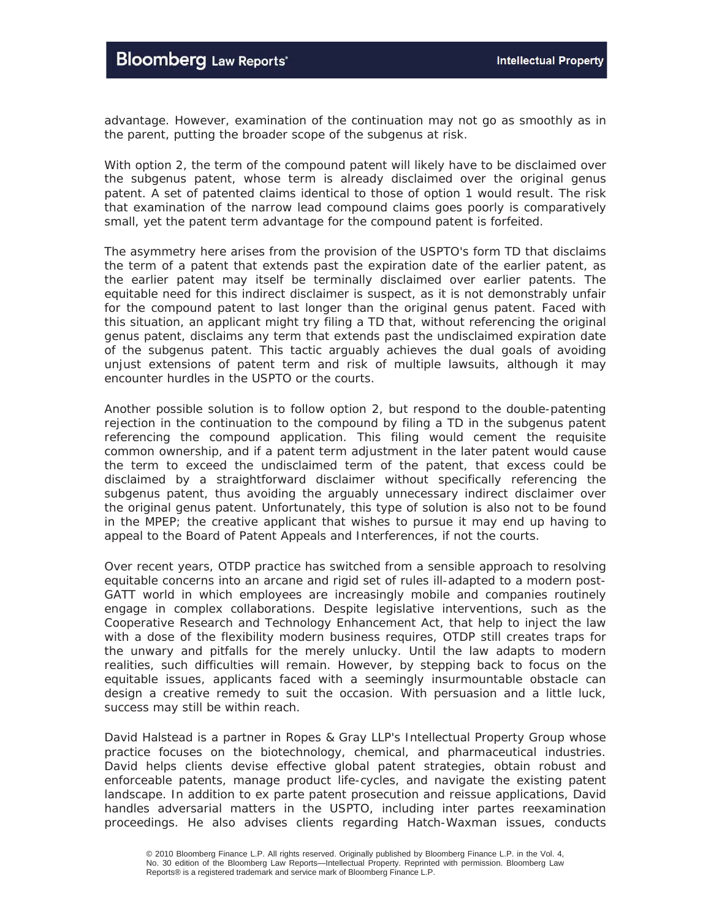advantage. However, examination of the continuation may not go as smoothly as in the parent, putting the broader scope of the subgenus at risk.

With option 2, the term of the compound patent will likely have to be disclaimed over the subgenus patent, whose term is already disclaimed over the original genus patent. A set of patented claims identical to those of option 1 would result. The risk that examination of the narrow lead compound claims goes poorly is comparatively small, yet the patent term advantage for the compound patent is forfeited.

The asymmetry here arises from the provision of the USPTO's form TD that disclaims the term of a patent that extends past the expiration date of the earlier patent, *as the earlier patent may itself be terminally disclaimed over earlier patents*. The equitable need for this indirect disclaimer is suspect, as it is not demonstrably unfair for the compound patent to last longer than the original genus patent. Faced with this situation, an applicant might try filing a TD that, without referencing the original genus patent, disclaims any term that extends past the *undisclaimed* expiration date of the subgenus patent. This tactic arguably achieves the dual goals of avoiding unjust extensions of patent term and risk of multiple lawsuits, although it may encounter hurdles in the USPTO or the courts.

Another possible solution is to follow option 2, but respond to the double-patenting rejection in the continuation to the compound by filing a TD *in the subgenus patent* referencing the compound application. This filing would cement the requisite common ownership, and if a patent term adjustment in the later patent would cause the term to exceed the undisclaimed term of the patent, that excess could be disclaimed by a straightforward disclaimer without specifically referencing the subgenus patent, thus avoiding the arguably unnecessary indirect disclaimer over the original genus patent. Unfortunately, this type of solution is also not to be found in the MPEP; the creative applicant that wishes to pursue it may end up having to appeal to the Board of Patent Appeals and Interferences, if not the courts.

Over recent years, OTDP practice has switched from a sensible approach to resolving equitable concerns into an arcane and rigid set of rules ill-adapted to a modern post-GATT world in which employees are increasingly mobile and companies routinely engage in complex collaborations. Despite legislative interventions, such as the Cooperative Research and Technology Enhancement Act, that help to inject the law with a dose of the flexibility modern business requires, OTDP still creates traps for the unwary and pitfalls for the merely unlucky. Until the law adapts to modern realities, such difficulties will remain. However, by stepping back to focus on the equitable issues, applicants faced with a seemingly insurmountable obstacle can design a creative remedy to suit the occasion. With persuasion and a little luck, success may still be within reach.

*David Halstead is a partner in Ropes & Gray LLP's Intellectual Property Group whose practice focuses on the biotechnology, chemical, and pharmaceutical industries. David helps clients devise effective global patent strategies, obtain robust and enforceable patents, manage product life-cycles, and navigate the existing patent landscape. In addition to ex parte patent prosecution and reissue applications, David handles adversarial matters in the USPTO, including inter partes reexamination proceedings. He also advises clients regarding Hatch-Waxman issues, conducts*